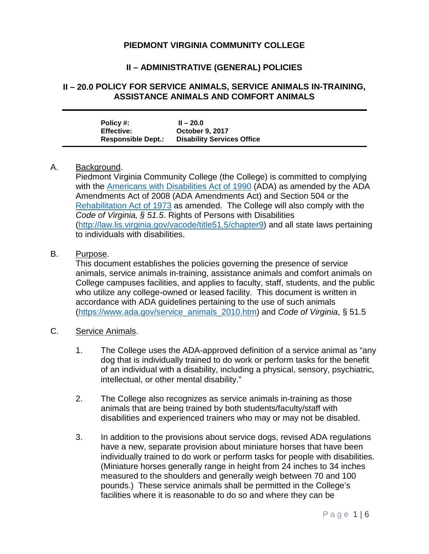## **PIEDMONT VIRGINIA COMMUNITY COLLEGE**

# **II – ADMINISTRATIVE (GENERAL) POLICIES**

#### **II – 20.0 POLICY FOR SERVICE ANIMALS, SERVICE ANIMALS IN-TRAINING, ASSISTANCE ANIMALS AND COMFORT ANIMALS**

| Policy #:                 | $II - 20.0$                       |
|---------------------------|-----------------------------------|
| <b>Effective:</b>         | <b>October 9, 2017</b>            |
| <b>Responsible Dept.:</b> | <b>Disability Services Office</b> |

#### A. Background.

Piedmont Virginia Community College (the College) is committed to complying with the [Americans with Disabilities Act of 1990](https://www.ada.gov/2010_regs.htm) (ADA) as amended by the ADA Amendments Act of 2008 (ADA Amendments Act) and Section 504 or the [Rehabilitation Act of 1973](https://www.disability.gov/rehabilitation-act-1973/) as amended. The College will also comply with the *Code of Virginia, § 51.5*. Rights of Persons with Disabilities [\(http://law.lis.virginia.gov/vacode/title51.5/chapter9\)](http://law.lis.virginia.gov/vacode/title51.5/chapter9) and all state laws pertaining to individuals with disabilities.

#### B. Purpose.

This document establishes the policies governing the presence of service animals, service animals in-training, assistance animals and comfort animals on College campuses facilities, and applies to faculty, staff, students, and the public who utilize any college-owned or leased facility. This document is written in accordance with ADA guidelines pertaining to the use of such animals [\(https://www.ada.gov/service\\_animals\\_2010.htm\)](https://www.ada.gov/service_animals_2010.htm) and *Code of Virginia*, § 51.5

### C. Service Animals.

- 1. The College uses the ADA-approved definition of a service animal as "any dog that is individually trained to do work or perform tasks for the benefit of an individual with a disability, including a physical, sensory, psychiatric, intellectual, or other mental disability."
- 2. The College also recognizes as service animals in-training as those animals that are being trained by both students/faculty/staff with disabilities and experienced trainers who may or may not be disabled.
- 3. In addition to the provisions about service dogs, revised ADA regulations have a new, separate provision about miniature horses that have been individually trained to do work or perform tasks for people with disabilities. (Miniature horses generally range in height from 24 inches to 34 inches measured to the shoulders and generally weigh between 70 and 100 pounds.) These service animals shall be permitted in the College's facilities where it is reasonable to do so and where they can be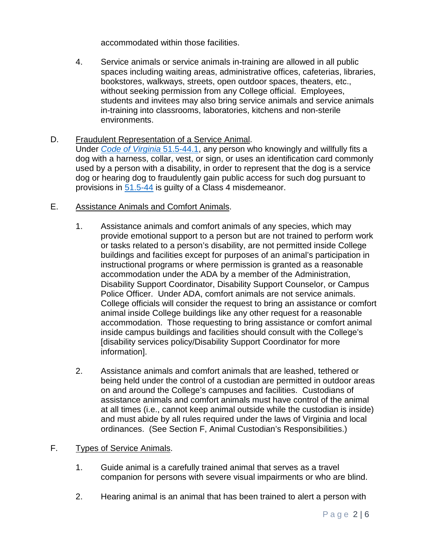accommodated within those facilities.

- 4. Service animals or service animals in-training are allowed in all public spaces including waiting areas, administrative offices, cafeterias, libraries, bookstores, walkways, streets, open outdoor spaces, theaters, etc., without seeking permission from any College official. Employees, students and invitees may also bring service animals and service animals in-training into classrooms, laboratories, kitchens and non-sterile environments.
- D. Fraudulent Representation of a Service Animal. Under *[Code of Virginia](http://law.lis.virginia.gov/vacode/title51.5/chapter9/section51.5-44.1/)* 51.5-44.1, any person who knowingly and willfully fits a dog with a harness, collar, vest, or sign, or uses an identification card commonly used by a person with a disability, in order to represent that the dog is a service dog or hearing dog to fraudulently gain public access for such dog pursuant to provisions in [51.5-44](http://law.lis.virginia.gov/vacode/title51.5/chapter9/section51.5-44/) is guilty of a Class 4 misdemeanor.
- E. Assistance Animals and Comfort Animals.
	- 1. Assistance animals and comfort animals of any species, which may provide emotional support to a person but are not trained to perform work or tasks related to a person's disability, are not permitted inside College buildings and facilities except for purposes of an animal's participation in instructional programs or where permission is granted as a reasonable accommodation under the ADA by a member of the Administration, Disability Support Coordinator, Disability Support Counselor, or Campus Police Officer. Under ADA, comfort animals are not service animals. College officials will consider the request to bring an assistance or comfort animal inside College buildings like any other request for a reasonable accommodation. Those requesting to bring assistance or comfort animal inside campus buildings and facilities should consult with the College's [disability services policy/Disability Support Coordinator for more information].
	- 2. Assistance animals and comfort animals that are leashed, tethered or being held under the control of a custodian are permitted in outdoor areas on and around the College's campuses and facilities. Custodians of assistance animals and comfort animals must have control of the animal at all times (i.e., cannot keep animal outside while the custodian is inside) and must abide by all rules required under the laws of Virginia and local ordinances. (See Section F, Animal Custodian's Responsibilities.)
- F. Types of Service Animals.
	- 1. Guide animal is a carefully trained animal that serves as a travel companion for persons with severe visual impairments or who are blind.
	- 2. Hearing animal is an animal that has been trained to alert a person with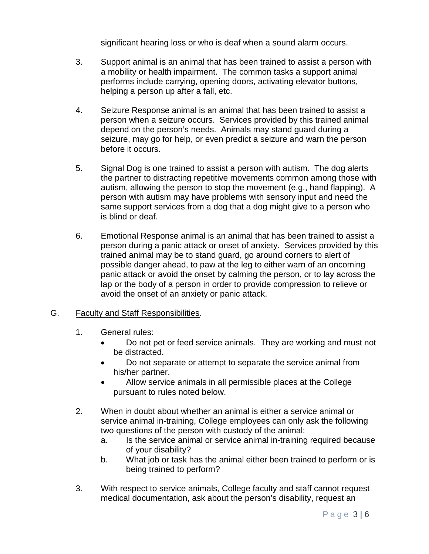significant hearing loss or who is deaf when a sound alarm occurs.

- 3. Support animal is an animal that has been trained to assist a person with a mobility or health impairment. The common tasks a support animal performs include carrying, opening doors, activating elevator buttons, helping a person up after a fall, etc.
- 4. Seizure Response animal is an animal that has been trained to assist a person when a seizure occurs. Services provided by this trained animal depend on the person's needs. Animals may stand guard during a seizure, may go for help, or even predict a seizure and warn the person before it occurs.
- 5. Signal Dog is one trained to assist a person with autism. The dog alerts the partner to distracting repetitive movements common among those with autism, allowing the person to stop the movement (e.g., hand flapping). A person with autism may have problems with sensory input and need the same support services from a dog that a dog might give to a person who is blind or deaf.
- 6. Emotional Response animal is an animal that has been trained to assist a person during a panic attack or onset of anxiety. Services provided by this trained animal may be to stand guard, go around corners to alert of possible danger ahead, to paw at the leg to either warn of an oncoming panic attack or avoid the onset by calming the person, or to lay across the lap or the body of a person in order to provide compression to relieve or avoid the onset of an anxiety or panic attack.

### G. Faculty and Staff Responsibilities.

- 1. General rules:
	- Do not pet or feed service animals. They are working and must not be distracted.
	- Do not separate or attempt to separate the service animal from his/her partner.
	- Allow service animals in all permissible places at the College pursuant to rules noted below.
- 2. When in doubt about whether an animal is either a service animal or service animal in-training, College employees can only ask the following two questions of the person with custody of the animal:
	- a. Is the service animal or service animal in-training required because of your disability?
	- b. What job or task has the animal either been trained to perform or is being trained to perform?
- 3. With respect to service animals, College faculty and staff cannot request medical documentation, ask about the person's disability, request an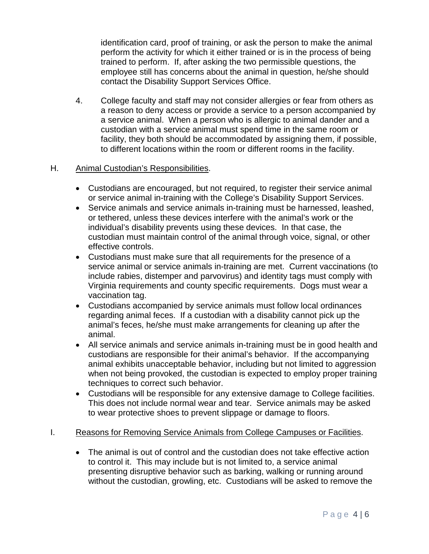identification card, proof of training, or ask the person to make the animal perform the activity for which it either trained or is in the process of being trained to perform. If, after asking the two permissible questions, the employee still has concerns about the animal in question, he/she should contact the Disability Support Services Office.

4. College faculty and staff may not consider allergies or fear from others as a reason to deny access or provide a service to a person accompanied by a service animal. When a person who is allergic to animal dander and a custodian with a service animal must spend time in the same room or facility, they both should be accommodated by assigning them, if possible, to different locations within the room or different rooms in the facility.

### H. Animal Custodian's Responsibilities.

- Custodians are encouraged, but not required, to register their service animal or service animal in-training with the College's Disability Support Services.
- Service animals and service animals in-training must be harnessed, leashed, or tethered, unless these devices interfere with the animal's work or the individual's disability prevents using these devices. In that case, the custodian must maintain control of the animal through voice, signal, or other effective controls.
- Custodians must make sure that all requirements for the presence of a service animal or service animals in-training are met. Current vaccinations (to include rabies, distemper and parvovirus) and identity tags must comply with Virginia requirements and county specific requirements. Dogs must wear a vaccination tag.
- Custodians accompanied by service animals must follow local ordinances regarding animal feces. If a custodian with a disability cannot pick up the animal's feces, he/she must make arrangements for cleaning up after the animal.
- All service animals and service animals in-training must be in good health and custodians are responsible for their animal's behavior. If the accompanying animal exhibits unacceptable behavior, including but not limited to aggression when not being provoked, the custodian is expected to employ proper training techniques to correct such behavior.
- Custodians will be responsible for any extensive damage to College facilities. This does not include normal wear and tear. Service animals may be asked to wear protective shoes to prevent slippage or damage to floors.

### I. Reasons for Removing Service Animals from College Campuses or Facilities.

• The animal is out of control and the custodian does not take effective action to control it. This may include but is not limited to, a service animal presenting disruptive behavior such as barking, walking or running around without the custodian, growling, etc. Custodians will be asked to remove the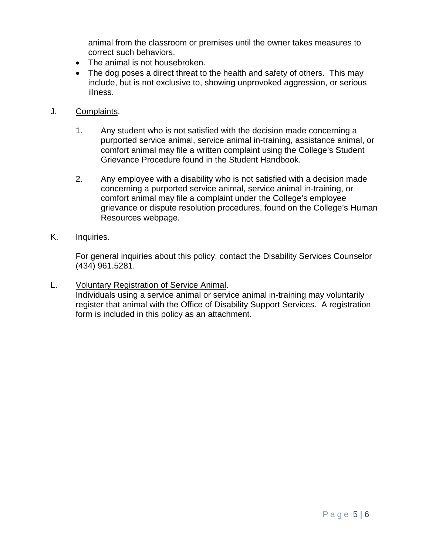animal from the classroom or premises until the owner takes measures to correct such behaviors.

- The animal is not housebroken.
- The dog poses a direct threat to the health and safety of others. This may include, but is not exclusive to, showing unprovoked aggression, or serious illness.
- J. Complaints.
	- 1. Any student who is not satisfied with the decision made concerning a purported service animal, service animal in-training, assistance animal, or comfort animal may file a written complaint using the College's Student Grievance Procedure found in the Student Handbook.
	- 2. Any employee with a disability who is not satisfied with a decision made concerning a purported service animal, service animal in-training, or comfort animal may file a complaint under the College's employee grievance or dispute resolution procedures, found on the College's Human Resources webpage.
- K. Inquiries.

For general inquiries about this policy, contact the Disability Services Counselor (434) 961.5281.

L. Voluntary Registration of Service Animal. Individuals using a service animal or service animal in-training may voluntarily register that animal with the Office of Disability Support Services. A registration form is included in this policy as an attachment.